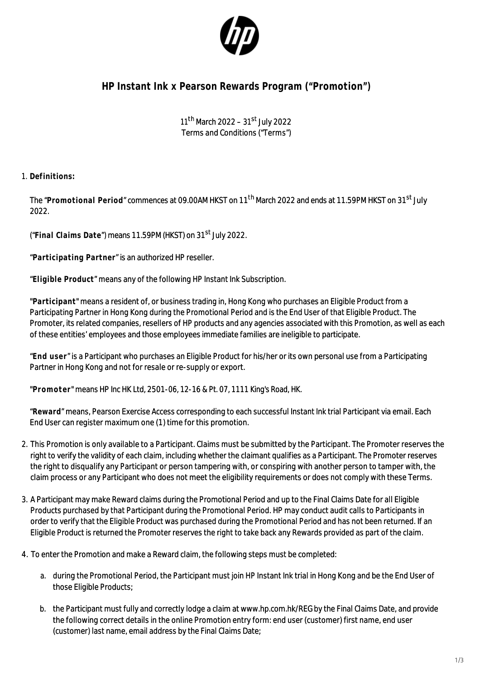

## **HP Instant Ink x Pearson Rewards Program ("Promotion")**

11<sup>th</sup> March 2022 – 31<sup>st</sup> July 2022 Terms and Conditions ("Terms")

1. **Definitions:** 

The "**Promotional Period**" commences at 09.00AM HKST on 11th March 2022 and ends at 11.59PM HKST on 31st July 2022.

("**Final Claims Date**") means 11.59PM (HKST) on 31st July 2022.

"**Participating Partner**" is an authorized HP reseller.

"**Eligible Product**" means any of the following HP Instant Ink Subscription.

"**Participant**" means a resident of, or business trading in, Hong Kong who purchases an Eligible Product from a Participating Partner in Hong Kong during the Promotional Period and is the End User of that Eligible Product. The Promoter, its related companies, resellers of HP products and any agencies associated with this Promotion, as well as each of these entities' employees and those employees immediate families are ineligible to participate.

"**End user**" is a Participant who purchases an Eligible Product for his/her or its own personal use from a Participating Partner in Hong Kong and not for resale or re-supply or export.

"**Promoter**" means HP Inc HK Ltd, 2501-06, 12-16 & Pt. 07, 1111 King's Road, HK.

"**Reward**" means, Pearson Exercise Access corresponding to each successful Instant Ink trial Participant via email. Each End User can register maximum one (1) time for this promotion.

- 2. This Promotion is only available to a Participant. Claims must be submitted by the Participant. The Promoter reserves the right to verify the validity of each claim, including whether the claimant qualifies as a Participant. The Promoter reserves the right to disqualify any Participant or person tampering with, or conspiring with another person to tamper with, the claim process or any Participant who does not meet the eligibility requirements or does not comply with these Terms.
- 3. A Participant may make Reward claims during the Promotional Period and up to the Final Claims Date for all Eligible Products purchased by that Participant during the Promotional Period. HP may conduct audit calls to Participants in order to verify that the Eligible Product was purchased during the Promotional Period and has not been returned. If an Eligible Product is returned the Promoter reserves the right to take back any Rewards provided as part of the claim.
- 4. To enter the Promotion and make a Reward claim, the following steps must be completed:
	- a. during the Promotional Period, the Participant must join HP Instant Ink trial in Hong Kong and be the End User of those Eligible Products;
	- b. the Participant must fully and correctly lodge a claim at www.hp.com.hk/REG by the Final Claims Date, and provide the following correct details in the online Promotion entry form: end user (customer) first name, end user (customer) last name, email address by the Final Claims Date;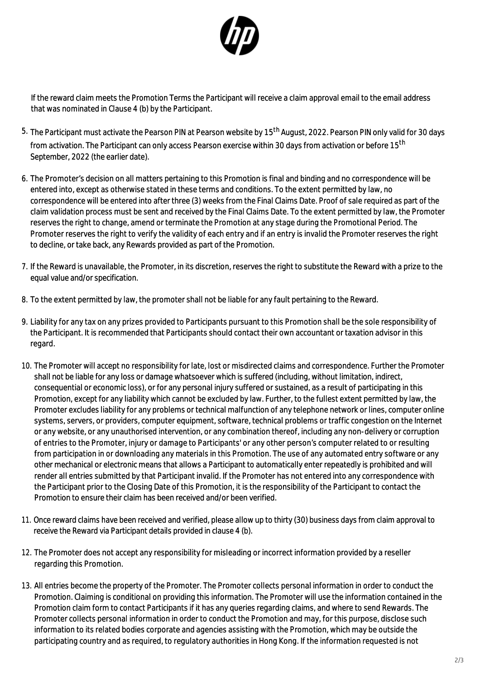

If the reward claim meets the Promotion Terms the Participant will receive a claim approval email to the email address that was nominated in Clause 4 (b) by the Participant.

- 5. The Participant must activate the Pearson PIN at Pearson website by 15<sup>th</sup> August, 2022. Pearson PIN only valid for 30 days from activation. The Participant can only access Pearson exercise within 30 davs from activation or before 15<sup>th</sup> September, 2022 (the earlier date).
- 6. The Promoter's decision on all matters pertaining to this Promotion is final and binding and no correspondence will be entered into, except as otherwise stated in these terms and conditions. To the extent permitted by law, no correspondence will be entered into after three (3) weeks from the Final Claims Date. Proof of sale required as part of the claim validation process must be sent and received by the Final Claims Date. To the extent permitted by law, the Promoter reserves the right to change, amend or terminate the Promotion at any stage during the Promotional Period. The Promoter reserves the right to verify the validity of each entry and if an entry is invalid the Promoter reserves the right to decline, or take back, any Rewards provided as part of the Promotion.
- 7. If the Reward is unavailable, the Promoter, in its discretion, reserves the right to substitute the Reward with a prize to the equal value and/or specification.
- 8. To the extent permitted by law, the promoter shall not be liable for any fault pertaining to the Reward.
- 9. Liability for any tax on any prizes provided to Participants pursuant to this Promotion shall be the sole responsibility of the Participant. It is recommended that Participants should contact their own accountant or taxation advisor in this regard.
- 10. The Promoter will accept no responsibility for late, lost or misdirected claims and correspondence. Further the Promoter shall not be liable for any loss or damage whatsoever which is suffered (including, without limitation, indirect, consequential or economic loss), or for any personal injury suffered or sustained, as a result of participating in this Promotion, except for any liability which cannot be excluded by law. Further, to the fullest extent permitted by law, the Promoter excludes liability for any problems or technical malfunction of any telephone network or lines, computer online systems, servers, or providers, computer equipment, software, technical problems or traffic congestion on the Internet or any website, or any unauthorised intervention, or any combination thereof, including any non-delivery or corruption of entries to the Promoter, injury or damage to Participants' or any other person's computer related to or resulting from participation in or downloading any materials in this Promotion. The use of any automated entry software or any other mechanical or electronic means that allows a Participant to automatically enter repeatedly is prohibited and will render all entries submitted by that Participant invalid. If the Promoter has not entered into any correspondence with the Participant prior to the Closing Date of this Promotion, it is the responsibility of the Participant to contact the Promotion to ensure their claim has been received and/or been verified.
- 11. Once reward claims have been received and verified, please allow up to thirty (30) business days from claim approval to receive the Reward via Participant details provided in clause 4 (b).
- 12. The Promoter does not accept any responsibility for misleading or incorrect information provided by a reseller regarding this Promotion.
- 13. All entries become the property of the Promoter. The Promoter collects personal information in order to conduct the Promotion. Claiming is conditional on providing this information. The Promoter will use the information contained in the Promotion claim form to contact Participants if it has any queries regarding claims, and where to send Rewards. The Promoter collects personal information in order to conduct the Promotion and may, for this purpose, disclose such information to its related bodies corporate and agencies assisting with the Promotion, which may be outside the participating country and as required, to regulatory authorities in Hong Kong. If the information requested is not